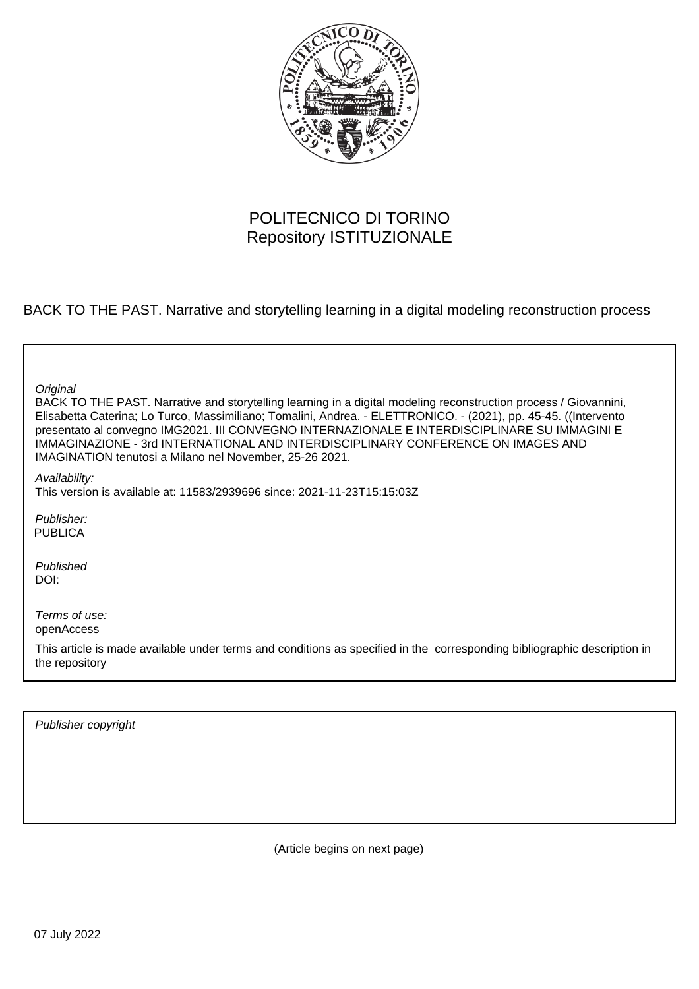

#### POLITECNICO DI TORINO Repository ISTITUZIONALE

BACK TO THE PAST. Narrative and storytelling learning in a digital modeling reconstruction process

**Original** 

BACK TO THE PAST. Narrative and storytelling learning in a digital modeling reconstruction process / Giovannini, Elisabetta Caterina; Lo Turco, Massimiliano; Tomalini, Andrea. - ELETTRONICO. - (2021), pp. 45-45. ((Intervento presentato al convegno IMG2021. III CONVEGNO INTERNAZIONALE E INTERDISCIPLINARE SU IMMAGINI E IMMAGINAZIONE - 3rd INTERNATIONAL AND INTERDISCIPLINARY CONFERENCE ON IMAGES AND IMAGINATION tenutosi a Milano nel November, 25-26 2021.

Availability:

This version is available at: 11583/2939696 since: 2021-11-23T15:15:03Z

Publisher: PUBLICA

Published DOI:

Terms of use: openAccess

This article is made available under terms and conditions as specified in the corresponding bibliographic description in the repository

Publisher copyright

(Article begins on next page)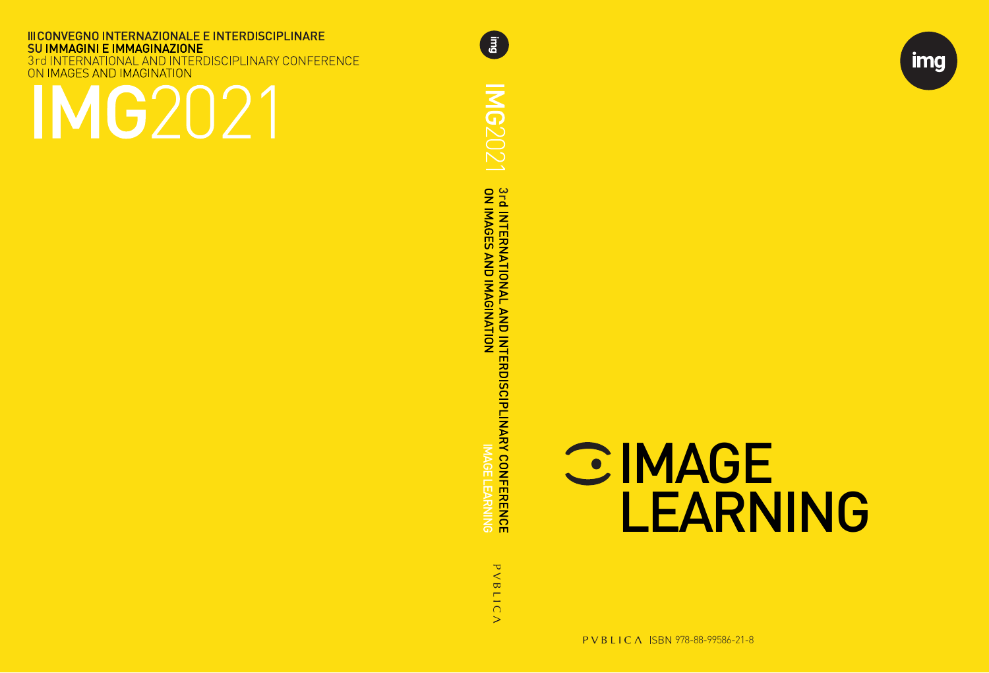**III CONVEGNO INTERNAZIONALE E INTERDISCIPLINARE SU IMMAGINI E IMMAGINAZIONE** INTERNATIONAL AND INTERDISCIPLINARY CONFERENCE 3rd INTERNATIONAL AND INTE<br>ON IMAGES AND IMAGINATION

# MG2021

**ING2021** 3rd INTERNATIONAL AND INTERDISCIPLINARY CONFERENCE<br>ON IMAGES AND IMAGINATION<br>ON IMAGES AND IMAGINATION IMAGE LEARNING PVBLICA

**E** 



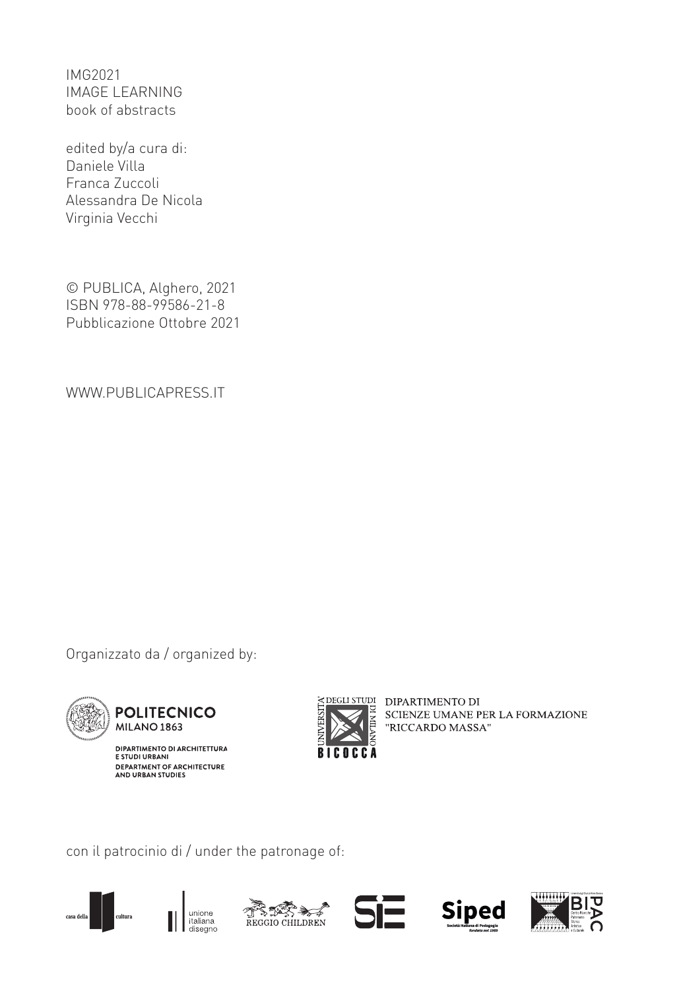IMG2021 IMAGE LEARNING book of abstracts

edited by/a cura di: Daniele Villa Franca Zuccoli Alessandra De Nicola Virginia Vecchi

© PUBLICA, Alghero, 2021 ISBN 978-88-99586-21-8 Pubblicazione Ottobre 2021

WWW.PUBLICAPRESS.IT

Organizzato da / organized by:



**POLITECNICO** MILANO 1863

DIPARTIMENTO DI ARCHITETTURA<br>E STUDI URBANI DEPARTMENT OF ARCHITECTURE<br>AND URBAN STUDIES



EXPEGILISTUDI DIPARTIMENTO DI SCIENZE UMANE PER LA FORMAZIONE "RICCARDO MASSA"

con il patrocinio di / under the patronage of:











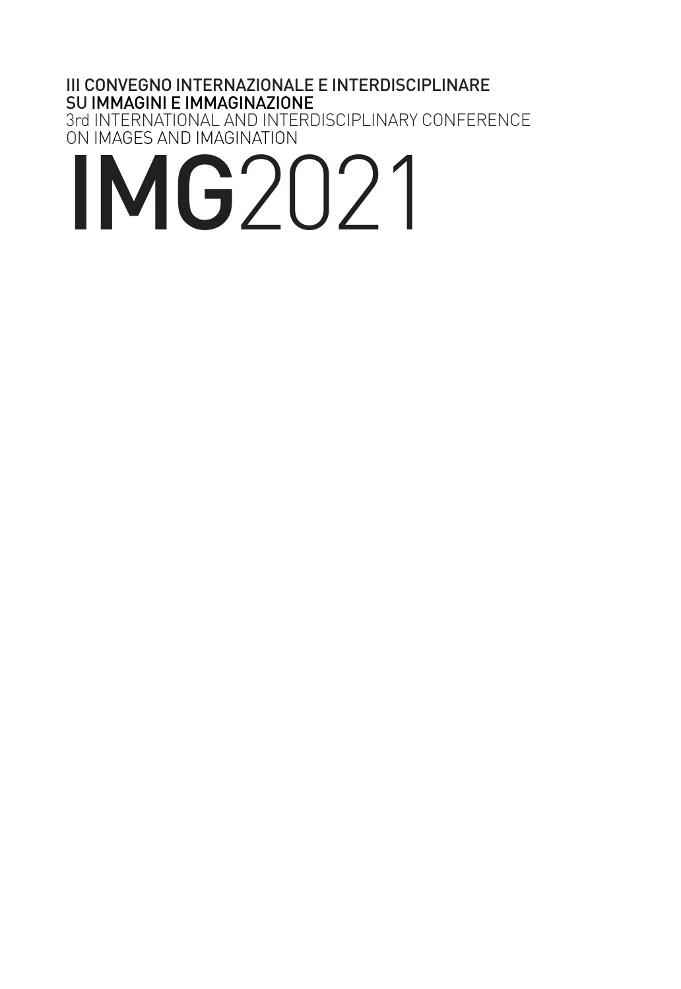#### III CONVEGNO INTERNAZIONALE E INTERDISCIPLINARE SU IMMAGINI E IMMAGINAZIONE 3rd INTERNATIONAL AND INTERDISCIPLINARY CONFERENCE

ON IMAGES AND IMAGINATION

## IMG2021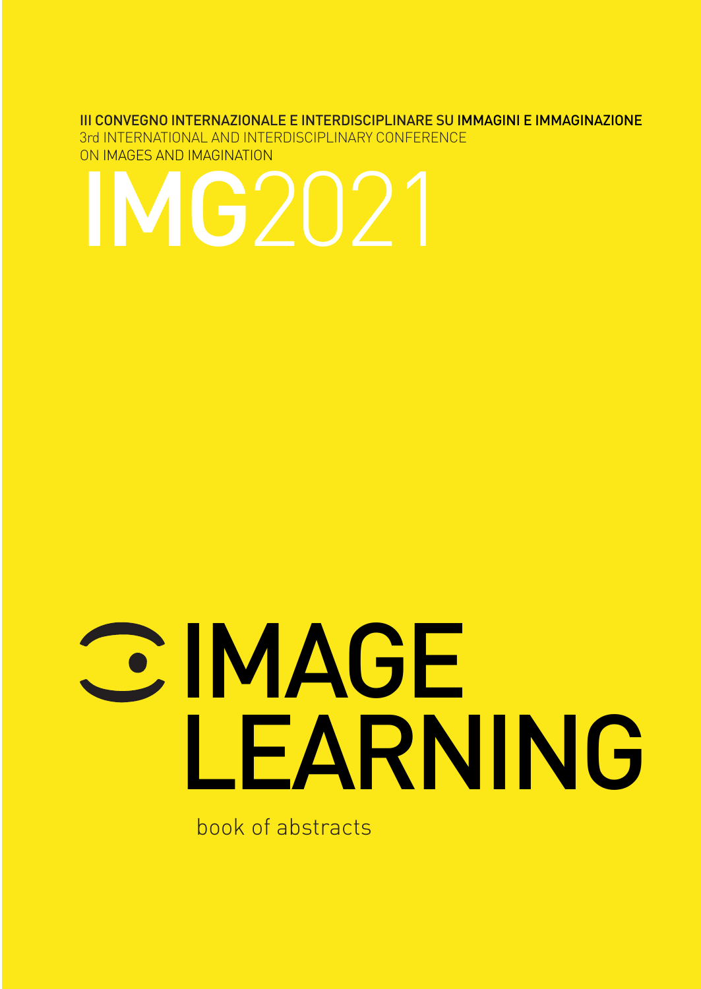#### III CONVEGNO INTERNAZIONALE E INTERDISCIPLINARE SU IMMAGINI E IMMAGINAZIONE

3rd INTERNATIONAL AND INTERDISCIPLINARY CONFERENCE ON IMAGES AND IMAGINATION

## IMG2021

# **CE MAGE** LEARNING

book of abstracts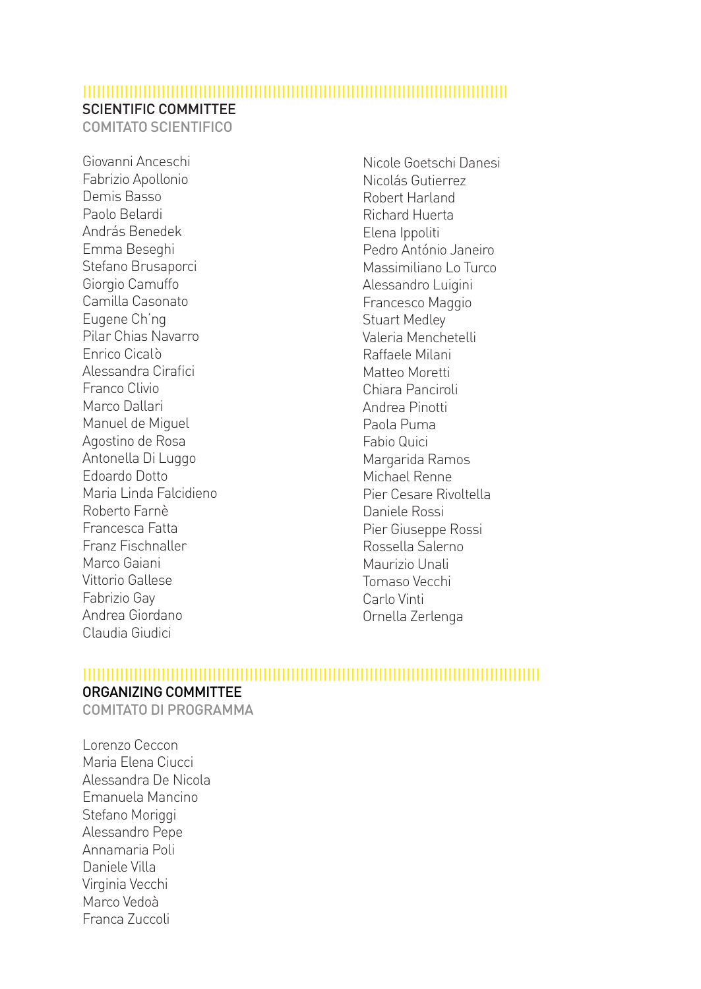#### |||||||||||||||||||||||||||||||||||||||||||||||||||||||||||||||||||||||||||||||||||||||||||| SCIENTIFIC COMMITTEE

COMITATO SCIENTIFICO

Giovanni Anceschi Fabrizio Apollonio Demis Basso Paolo Belardi András Benedek Emma Beseghi Stefano Brusaporci Giorgio Camuffo Camilla Casonato Eugene Ch'ng Pilar Chias Navarro Enrico Cicalò Alessandra Cirafici Franco Clivio Marco Dallari Manuel de Miguel Agostino de Rosa Antonella Di Luggo Edoardo Dotto Maria Linda Falcidieno Roberto Farnè Francesca Fatta Franz Fischnaller Marco Gaiani Vittorio Gallese Fabrizio Gay Andrea Giordano Claudia Giudici

Nicole Goetschi Danesi Nicolás Gutierrez Robert Harland Richard Huerta Elena Ippoliti Pedro António Janeiro Massimiliano Lo Turco Alessandro Luigini Francesco Maggio Stuart Medley Valeria Menchetelli Raffaele Milani Matteo Moretti Chiara Panciroli Andrea Pinotti Paola Puma Fabio Quici Margarida Ramos Michael Renne Pier Cesare Rivoltella Daniele Rossi Pier Giuseppe Rossi Rossella Salerno Maurizio Unali Tomaso Vecchi Carlo Vinti Ornella Zerlenga

#### |||||||||||||||||||||||||||||||||||||||||||||||||||||||||||||||||||||||||||||||||||||||||||||||||||

#### ORGANIZING COMMITTEE

COMITATO DI PROGRAMMA

Lorenzo Ceccon Maria Elena Ciucci Alessandra De Nicola Emanuela Mancino Stefano Moriggi Alessandro Pepe Annamaria Poli Daniele Villa Virginia Vecchi Marco Vedoà Franca Zuccoli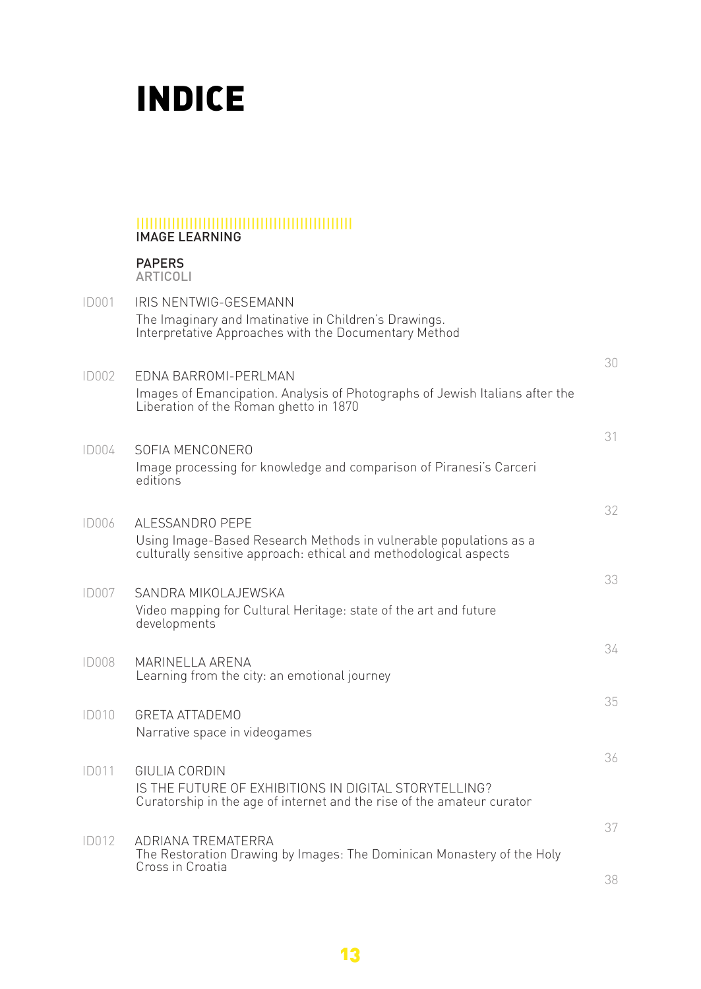### INDICE

#### ||||||||||||||||||||||||||||||||||||||||||||||||| IMAGE LEARNING

PAPERS ARTICOLI

| <b>ID001</b> | IRIS NENTWIG-GESEMANN<br>The Imaginary and Imatinative in Children's Drawings.<br>Interpretative Approaches with the Documentary Method                   |    |
|--------------|-----------------------------------------------------------------------------------------------------------------------------------------------------------|----|
| ID002        | <b>EDNA BARROMI-PERLMAN</b><br>Images of Emancipation. Analysis of Photographs of Jewish Italians after the<br>Liberation of the Roman ghetto in 1870     | 30 |
| ID004        | SOFIA MENCONERO<br>Image processing for knowledge and comparison of Piranesi's Carceri<br>editions                                                        | 31 |
| <b>ID006</b> | ALESSANDRO PEPE<br>Using Image-Based Research Methods in vulnerable populations as a<br>culturally sensitive approach: ethical and methodological aspects | 32 |
| <b>ID007</b> | SANDRA MIKOLAJEWSKA<br>Video mapping for Cultural Heritage: state of the art and future<br>developments                                                   | 33 |
| <b>ID008</b> | MARINELLA ARENA<br>Learning from the city: an emotional journey                                                                                           | 34 |
| <b>ID010</b> | <b>GRETA ATTADEMO</b><br>Narrative space in videogames                                                                                                    | 35 |
| <b>ID011</b> | GIULIA CORDIN<br>IS THE FUTURE OF EXHIBITIONS IN DIGITAL STORYTELLING?<br>Curatorship in the age of internet and the rise of the amateur curator          | 36 |
| <b>ID012</b> | ADRIANA TREMATERRA<br>The Restoration Drawing by Images: The Dominican Monastery of the Holy<br>Cross in Croatia                                          | 37 |
|              |                                                                                                                                                           | 38 |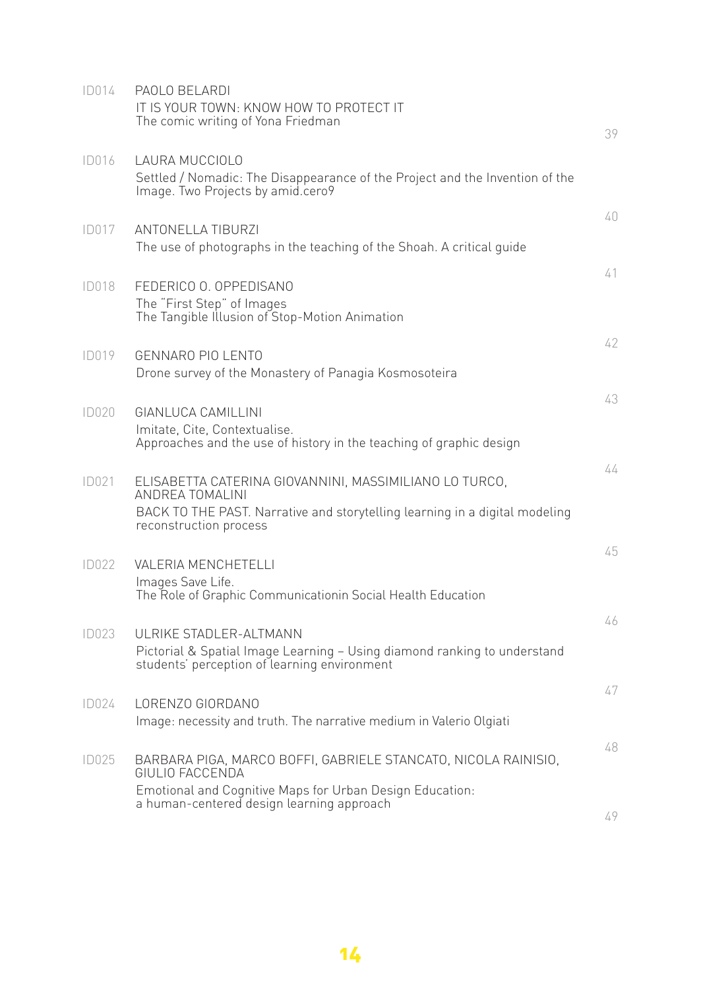| ID014        | PAOLO BELARDI<br>IT IS YOUR TOWN: KNOW HOW TO PROTECT IT<br>The comic writing of Yona Friedman                                                                                     | 39 |
|--------------|------------------------------------------------------------------------------------------------------------------------------------------------------------------------------------|----|
| <b>ID016</b> | LAURA MUCCIOLO<br>Settled / Nomadic: The Disappearance of the Project and the Invention of the<br>Image. Two Projects by amid.cero9                                                |    |
| <b>ID017</b> | <b>ANTONELLA TIBURZI</b><br>The use of photographs in the teaching of the Shoah. A critical guide                                                                                  | 40 |
| <b>ID018</b> | FEDERICO O. OPPEDISANO<br>The "First Step" of Images<br>The Tangible Illusion of Stop-Motion Animation                                                                             | 41 |
| ID019        | GENNARO PIO LENTO<br>Drone survey of the Monastery of Panagia Kosmosoteira                                                                                                         | 42 |
| ID020        | GIANLUCA CAMILLINI<br>Imitate, Cite, Contextualise.<br>Approaches and the use of history in the teaching of graphic design                                                         | 43 |
| ID021        | ELISABETTA CATERINA GIOVANNINI, MASSIMILIANO LO TURCO,<br>ANDREA TOMALINI<br>BACK TO THE PAST. Narrative and storytelling learning in a digital modeling<br>reconstruction process | 44 |
| ID022        | <b>VALERIA MENCHETELLI</b><br>Images Save Life.<br>The Role of Graphic Communicationin Social Health Education                                                                     | 45 |
| ID023        | UI RIKE STADI FR-AI TMANN<br>Pictorial & Spatial Image Learning - Using diamond ranking to understand<br>students' perception of learning environment                              | 46 |
| ID024        | LORENZO GIORDANO<br>Image: necessity and truth. The narrative medium in Valerio Olgiati                                                                                            | 47 |
| ID025        | BARBARA PIGA, MARCO BOFFI, GABRIELE STANCATO, NICOLA RAINISIO,<br>GIULIO FACCENDA<br>Emotional and Cognitive Maps for Urban Design Education:                                      | 48 |
|              | a human-centered design learning approach                                                                                                                                          | 49 |